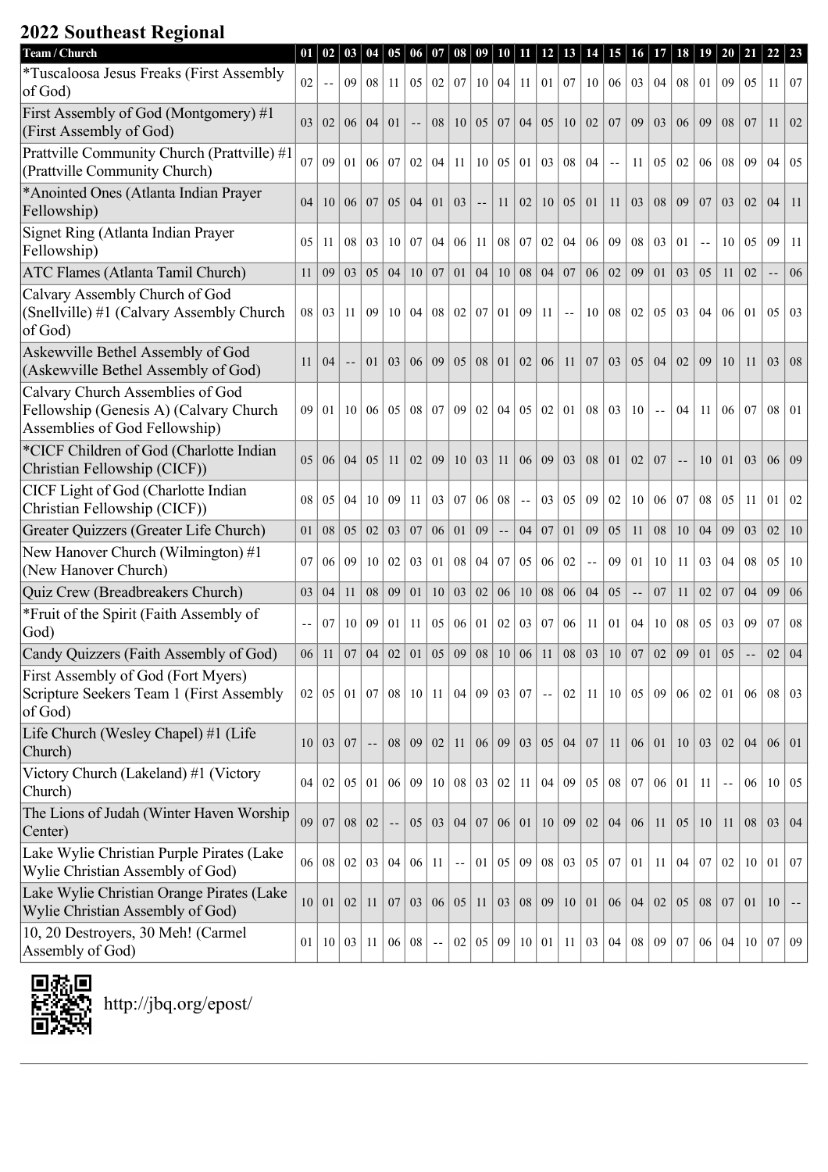## **2022 Southeast Regional**

| Team / Church                                                                                               | 01  | 02              | 03              | 04                       | 05             | 06              | 07                         | 08                         | 09              | 10  | 11         | 12              | 13               | 14            | 15  | 16 <sup>1</sup> | 17              | 18 | 19  | 20            | 21                         | 22  | $\vert 23 \vert$ |
|-------------------------------------------------------------------------------------------------------------|-----|-----------------|-----------------|--------------------------|----------------|-----------------|----------------------------|----------------------------|-----------------|-----|------------|-----------------|------------------|---------------|-----|-----------------|-----------------|----|-----|---------------|----------------------------|-----|------------------|
| *Tuscaloosa Jesus Freaks (First Assembly<br>of God)                                                         | 02  | $-$             | 09              | 08                       | 11             | 05              | 02                         | 07                         | 10 <sup>1</sup> | 04  | 11         | 01              | $\vert 07 \vert$ | 10            | 06  | 03              | 04              | 08 | 01  | 09            | 05                         | 11  | $\vert 07$       |
| First Assembly of God (Montgomery) #1<br>(First Assembly of God)                                            | 03  | 02              | 06 <sup>1</sup> | 04                       | 0 <sub>1</sub> |                 | 08                         | 10 <sup>1</sup>            | 05              | 07  | 04         | 05              | 10               | 02            | 07  | 09              | 0 <sub>3</sub>  | 06 | 09  | 08            | 07                         | 11  | 02               |
| Prattville Community Church (Prattville) #1<br>(Prattville Community Church)                                | 07  | 09              | 01              | 06                       | 07             | 02              | 04                         | 11                         | 10              | 05  | 01         | 03              | 08               | 04            | $-$ | 11              | 0 <sub>5</sub>  | 02 | 06  | 08            | 09                         | 04  | 05               |
| *Anointed Ones (Atlanta Indian Prayer<br>Fellowship)                                                        | 04  | 10              | 06              | 07                       | 05             | 04              | 01                         | 03                         |                 | 11  | 02         | 10              | 05               | 01            | 11  | 03              | 08              | 09 | 07  | 03            | 02                         | 04  | 11               |
| Signet Ring (Atlanta Indian Prayer<br>Fellowship)                                                           | 05  | 11              | 08              | 03                       | 10             | 07              | 04                         | 06                         | 11              | 08  | 07         | 02              | 04               | 06            | 09  | 08              | 03              | 01 | $-$ | 10            | 05                         | 09  | <sup>11</sup>    |
| ATC Flames (Atlanta Tamil Church)                                                                           | 11  | 09              | 03              | 05                       | 04             | 10              | 07                         | 01                         | 04              | 10  | 08         | 04              | 07               | 06            | 02  | 09              | 01              | 03 | 0.5 | 11            | 02                         | $-$ | 06               |
| Calvary Assembly Church of God<br>(Snellville) #1 (Calvary Assembly Church<br>of God)                       | 08  | 03              | 11              | 09                       | 10             | 04              | 08                         | 02                         | 07              | 01  | 09         | 11              | $\overline{a}$   | 10            | 08  | 02              | 0 <sub>5</sub>  | 03 | 04  | 06            | 01                         | 05  | 03               |
| Askewville Bethel Assembly of God<br>(Askewville Bethel Assembly of God)                                    | 11  | 04              |                 | 01                       | 03             | 06              | 09                         | 05                         | 08              | 01  | 02         | 06              | 11               | 07            | 03  | 05              | 04              | 02 | 09  | 10            | 11                         | 03  | 08               |
| Calvary Church Assemblies of God<br>Fellowship (Genesis A) (Calvary Church<br>Assemblies of God Fellowship) | 09  | 0 <sub>1</sub>  | 10              | 06                       | 05             | 08              | 07                         | 09                         | 02              | 04  | 05         | 02              | 01               | 08            | 03  | 10              |                 | 04 | 11  | 06            | 07                         | 08  | $\vert$ 01       |
| *CICF Children of God (Charlotte Indian<br>Christian Fellowship (CICF))                                     | 05  | 06              | 04              | 0 <sub>5</sub>           | 11             | 02              | 09                         | 10                         | 03              | 11  | 06         | 09              | 03               | 08            | 01  | 02              | 07              |    | 10  | 01            | 03                         | 06  | $\mid$ 09        |
| CICF Light of God (Charlotte Indian<br>Christian Fellowship (CICF))                                         | 08  | 05              | 04              | 10                       | 09             | 11              | 03                         | 07                         | 06              | 08  | $\sim$ $-$ | 03              | 05               | 09            | 02  | 10              | 06              | 07 | 08  | 05            | 11                         | 01  | 02               |
| Greater Quizzers (Greater Life Church)                                                                      | 01  | 08              | 05              | 02                       | 03             | 07              | 06                         | 01                         | 09              | $-$ | 04         | 07              | 01               | 09            | 05  | 11              | 08              | 10 | 04  | 09            | 03                         | 02  | 10               |
| New Hanover Church (Wilmington) #1<br>(New Hanover Church)                                                  | 07  | 06              | 09              | 10                       | 02             | 03              | 01                         | 08                         | 04              | 07  | 05         | 06              | 02               | $\sim$ $\sim$ | 09  | 01              | 10              | 11 | 03  | 04            | 08                         | 05  | 10               |
| Quiz Crew (Breadbreakers Church)                                                                            | 03  | 04              | 11              | 08                       | 09             | 01              | 10                         | 03                         | 02              | 06  | 10         | 08              | 06               | 04            | 05  | $\sim$ $\sim$   | 07              | 11 | 02  | 07            | 04                         | 09  | 06               |
| *Fruit of the Spirit (Faith Assembly of<br>God)                                                             | $-$ | 07              | 10              | 09                       | 01             | 11              | 05                         | 06                         | 01              | 02  | 03         | 07              | 06               | 11            | 01  | 04              | 10              | 08 | 05  | 03            | 09                         | 07  | 08               |
| Candy Quizzers (Faith Assembly of God)                                                                      | 06  | 11              | 07              | 04                       | 02             | 01              | 05                         | 09                         | 08              | 10  | 06         | 11              | 08               | 03            | 10  | 07              | 02              | 09 | 01  | 05            | $\overline{\phantom{a}}$ . | 02  | 04               |
| First Assembly of God (Fort Myers)<br>Scripture Seekers Team 1 (First Assembly<br>of God)                   | 02  | 05              | 01 <sup>1</sup> | 07                       | 08             | 10 <sup>1</sup> | 11                         | 04                         | 09              | 03  | 07         | $\sim$ $\sim$   | 02               | 11            | 10  | 05              | 09              | 06 | 02  | 01            | 06                         | 08  | $\vert 03$       |
| Life Church (Wesley Chapel) #1 (Life<br>Church)                                                             | 10  | 03              | 07              | $\overline{\phantom{a}}$ | 08             | 09              | 02                         | 11                         | 06              | 09  | 03         | 05              | 04               | 07            | 11  | 06              | 01              | 10 | 03  | 02            | 04                         | 06  | $\vert 01 \vert$ |
| Victory Church (Lakeland) #1 (Victory<br>Church)                                                            | 04  | 02              | 05 <sup>1</sup> | 01                       | 06             | 09 <sup>1</sup> | 10 <sup>1</sup>            | 08 <sup>1</sup>            | 03              | 02  | 11         |                 | 04 09            | 05            | 08  | 07 <sup>2</sup> | 06 <sup>1</sup> | 01 | 11  | $\sim$ $\sim$ | 06                         | 10  | $\vert 05$       |
| The Lions of Judah (Winter Haven Worship<br>Center)                                                         | 09  | 07              | 08              | 02                       |                | 05              | 03                         | 04                         | 07              | 06  | 01         | 10 <sup>1</sup> | 09               | 02            | 04  | 06              | 11              | 05 | 10  | 11            | 08                         | 03  | $\mid$ 04        |
| Lake Wylie Christian Purple Pirates (Lake<br>Wylie Christian Assembly of God)                               | 06  | ${\bf 08}$      | 02              | 03                       | 04             | 06 <sup>1</sup> | 11                         | $\overline{\phantom{a}}$ . | 01              | 05  | 09         |                 | $08 \mid 03$     | 05            | 07  | 01              | 11              | 04 | 07  | 02            | 10                         | 01  | $\vert 07$       |
| Lake Wylie Christian Orange Pirates (Lake<br>Wylie Christian Assembly of God)                               | 10  | 01              | 02              | 11                       | 07             | 03              | 06 <sup>1</sup>            | 05                         | 11              | 03  | 08         | 09              | 10               | 01            | 06  | 04              | 02              | 05 | 08  | 07            | 01                         | 10  |                  |
| 10, 20 Destroyers, 30 Meh! (Carmel<br>Assembly of God)                                                      | 01  | 10 <sup>1</sup> | 03              | 11                       | 06             | 08              | $\overline{\phantom{a}}$ . | 02                         | 05              | 09  |            | 10 01           |                  | 11   03       | 04  | 08              | 09              | 07 | 06  | 04            | 10                         | 07  | $\sqrt{09}$      |

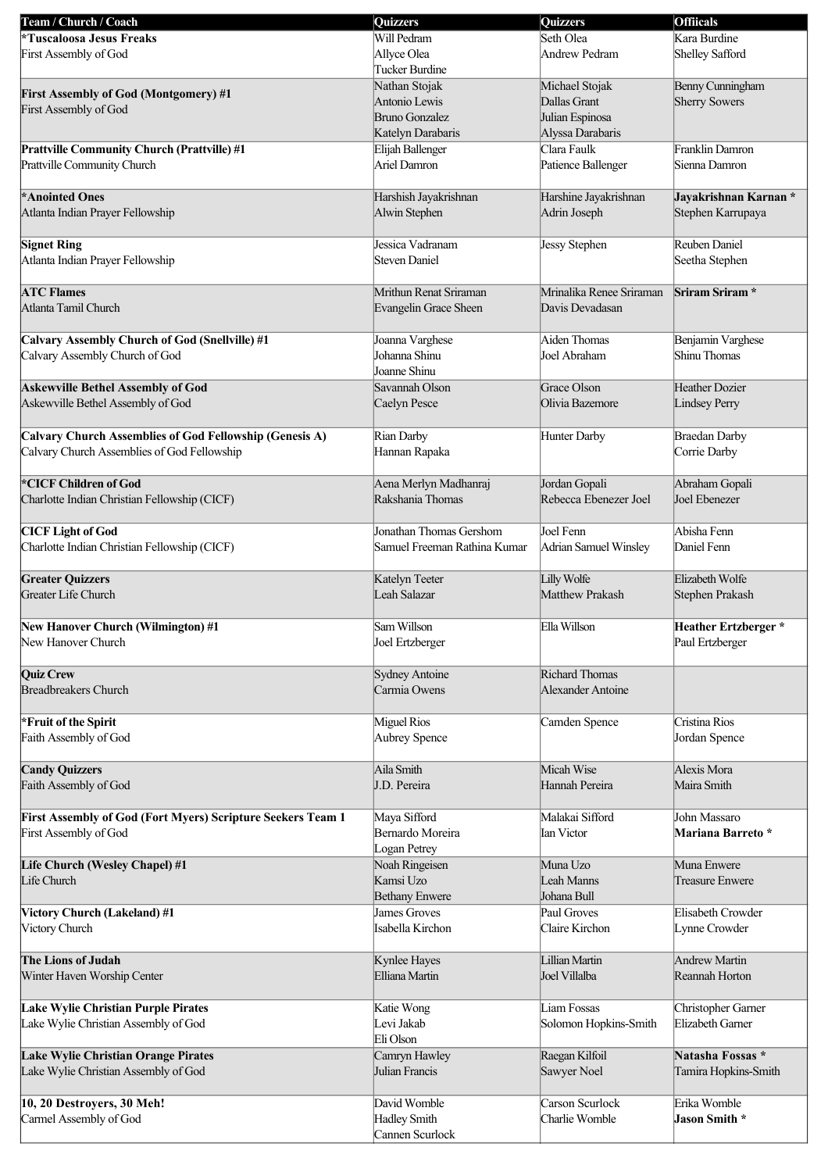| Team / Church / Coach                                       | <b>Quizzers</b>              | <b>Quizzers</b>          | <b>Offiicals</b>     |
|-------------------------------------------------------------|------------------------------|--------------------------|----------------------|
| *Tuscaloosa Jesus Freaks                                    | Will Pedram                  | Seth Olea                | Kara Burdine         |
| First Assembly of God                                       | Allyce Olea                  | Andrew Pedram            | Shelley Safford      |
|                                                             | Tucker Burdine               |                          |                      |
|                                                             |                              |                          |                      |
| <b>First Assembly of God (Montgomery) #1</b>                | Nathan Stojak                | Michael Stojak           | Benny Cunningham     |
| First Assembly of God                                       | Antonio Lewis                | Dallas Grant             | Sherry Sowers        |
|                                                             | <b>Bruno Gonzalez</b>        | Julian Espinosa          |                      |
|                                                             | Katelyn Darabaris            | Alyssa Darabaris         |                      |
| <b>Prattville Community Church (Prattville) #1</b>          | Elijah Ballenger             | Clara Faulk              | Franklin Damron      |
| Prattville Community Church                                 | Ariel Damron                 | Patience Ballenger       | Sienna Damron        |
|                                                             |                              |                          |                      |
|                                                             |                              |                          |                      |
| *Anointed Ones                                              | Harshish Jayakrishnan        | Harshine Jayakrishnan    | Jayakrishnan Karnan* |
| Atlanta Indian Prayer Fellowship                            | Alwin Stephen                | Adrin Joseph             | Stephen Karrupaya    |
|                                                             |                              |                          |                      |
| <b>Signet Ring</b>                                          | Jessica Vadranam             | Jessy Stephen            | Reuben Daniel        |
| Atlanta Indian Prayer Fellowship                            | <b>Steven Daniel</b>         |                          | Seetha Stephen       |
|                                                             |                              |                          |                      |
|                                                             |                              |                          |                      |
| <b>ATC Flames</b>                                           | Mrithun Renat Sriraman       | Mrinalika Renee Sriraman | Sriram Sriram*       |
| Atlanta Tamil Church                                        | Evangelin Grace Sheen        | Davis Devadasan          |                      |
|                                                             |                              |                          |                      |
| Calvary Assembly Church of God (Snellville) #1              | Joanna Varghese              | Aiden Thomas             | Benjamin Varghese    |
| Calvary Assembly Church of God                              | Johanna Shinu                | Joel Abraham             | Shinu Thomas         |
|                                                             | Joanne Shinu                 |                          |                      |
|                                                             |                              |                          |                      |
| <b>Askewville Bethel Assembly of God</b>                    | Savannah Olson               | Grace Olson              | Heather Dozier       |
| Askewville Bethel Assembly of God                           | Caelyn Pesce                 | Olivia Bazemore          | Lindsey Perry        |
|                                                             |                              |                          |                      |
| Calvary Church Assemblies of God Fellowship (Genesis A)     | Rian Darby                   | Hunter Darby             | <b>Braedan Darby</b> |
| Calvary Church Assemblies of God Fellowship                 | Hannan Rapaka                |                          | Corrie Darby         |
|                                                             |                              |                          |                      |
|                                                             |                              |                          |                      |
| *CICF Children of God                                       | Aena Merlyn Madhanraj        | Jordan Gopali            | Abraham Gopali       |
| Charlotte Indian Christian Fellowship (CICF)                | Rakshania Thomas             | Rebecca Ebenezer Joel    | Joel Ebenezer        |
|                                                             |                              |                          |                      |
| <b>CICF</b> Light of God                                    | Jonathan Thomas Gershom      | Joel Fenn                | Abisha Fenn          |
| Charlotte Indian Christian Fellowship (CICF)                | Samuel Freeman Rathina Kumar | Adrian Samuel Winsley    | Daniel Fenn          |
|                                                             |                              |                          |                      |
|                                                             |                              |                          |                      |
| <b>Greater Quizzers</b>                                     | Katelyn Teeter               | Lilly Wolfe              | Elizabeth Wolfe      |
| Greater Life Church                                         | Leah Salazar                 | Matthew Prakash          | Stephen Prakash      |
|                                                             |                              |                          |                      |
| <b>New Hanover Church (Wilmington)#1</b>                    | Sam Willson                  | Ella Willson             | Heather Ertzberger*  |
| New Hanover Church                                          | Joel Ertzberger              |                          | Paul Ertzberger      |
|                                                             |                              |                          |                      |
|                                                             |                              |                          |                      |
| <b>Quiz Crew</b>                                            | Sydney Antoine               | Richard Thomas           |                      |
| <b>Breadbreakers Church</b>                                 | Carmia Owens                 | Alexander Antoine        |                      |
|                                                             |                              |                          |                      |
| *Fruit of the Spirit                                        | Miguel Rios                  | Camden Spence            | Cristina Rios        |
| Faith Assembly of God                                       | Aubrey Spence                |                          | Jordan Spence        |
|                                                             |                              |                          |                      |
| <b>Candy Quizzers</b>                                       | Aila Smith                   | Micah Wise               | Alexis Mora          |
|                                                             |                              |                          |                      |
| Faith Assembly of God                                       | J.D. Pereira                 | Hannah Pereira           | Maira Smith          |
|                                                             |                              |                          |                      |
| First Assembly of God (Fort Myers) Scripture Seekers Team 1 | Maya Sifford                 | Malakai Sifford          | John Massaro         |
| First Assembly of God                                       | Bernardo Moreira             | Ian Victor               | Mariana Barreto *    |
|                                                             | Logan Petrey                 |                          |                      |
|                                                             | Noah Ringeisen               | Muna Uzo                 | Muna Enwere          |
| Life Church (Wesley Chapel) #1<br>Life Church               | Kamsi Uzo                    | Leah Manns               | Treasure Enwere      |
|                                                             |                              |                          |                      |
|                                                             | <b>Bethany Enwere</b>        | Johana Bull              |                      |
| Victory Church (Lakeland) #1                                | James Groves                 | Paul Groves              | Elisabeth Crowder    |
| Victory Church                                              | Isabella Kirchon             | Claire Kirchon           | Lynne Crowder        |
|                                                             |                              |                          |                      |
| The Lions of Judah                                          | Kynlee Hayes                 | Lillian Martin           | Andrew Martin        |
| Winter Haven Worship Center                                 | Elliana Martin               | Joel Villalba            | Reannah Horton       |
|                                                             |                              |                          |                      |
|                                                             |                              |                          |                      |
| Lake Wylie Christian Purple Pirates                         | Katie Wong                   | Liam Fossas              | Christopher Garner   |
| Lake Wylie Christian Assembly of God                        | Levi Jakab                   | Solomon Hopkins-Smith    | Elizabeth Garner     |
|                                                             | Eli Olson                    |                          |                      |
| Lake Wylie Christian Orange Pirates                         | Camryn Hawley                | Raegan Kilfoil           | Natasha Fossas*      |
| Lake Wylie Christian Assembly of God                        | Julian Francis               | Sawyer Noel              | Tamira Hopkins-Smith |
|                                                             |                              |                          |                      |
|                                                             |                              |                          |                      |
| 10, 20 Destroyers, 30 Meh!                                  | David Womble                 | Carson Scurlock          | Erika Womble         |
| Carmel Assembly of God                                      | <b>Hadley Smith</b>          | Charlie Womble           | Jason Smith *        |
|                                                             | Cannen Scurlock              |                          |                      |